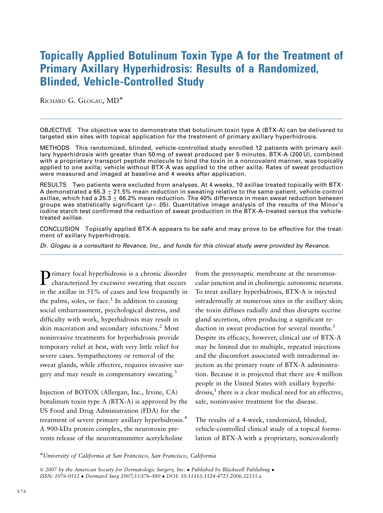# Topically Applied Botulinum Toxin Type A for the Treatment of Primary Axillary Hyperhidrosis: Results of a Randomized, Blinded, Vehicle-Controlled Study

RICHARD G. GLOGAU, MD<sup>\*</sup>

OBJECTIVE The objective was to demonstrate that botulinum toxin type A (BTX-A) can be delivered to targeted skin sites with topical application for the treatment of primary axillary hyperhidrosis.

METHODS This randomized, blinded, vehicle-controlled study enrolled 12 patients with primary axillary hyperhidrosis with greater than 50 mg of sweat produced per 5 minutes. BTX-A (200 U), combined with a proprietary transport peptide molecule to bind the toxin in a noncovalent manner, was topically applied to one axilla; vehicle without BTX-A was applied to the other axilla. Rates of sweat production were measured and imaged at baseline and 4 weeks after application.

RESULTS Two patients were excluded from analyses. At 4 weeks, 10 axillae treated topically with BTX-A demonstrated a 65.3  $\pm$  21.5% mean reduction in sweating relative to the same-patient, vehicle-control axillae, which had a 25.3 + 66.2% mean reduction. The 40% difference in mean sweat reduction between groups was statistically significant ( $p < 0.05$ ). Quantitative image analysis of the results of the Minor's iodine starch test confirmed the reduction of sweat production in the BTX-A–treated versus the vehicletreated axillae.

CONCLUSION Topically applied BTX-A appears to be safe and may prove to be effective for the treatment of axillary hyperhidrosis.

Dr. Glogau is a consultant to Revance, Inc., and funds for this clinical study were provided by Revance.

Primary focal hyperhidrosis is <sup>a</sup> chronic disorder characterized by excessive sweating that occurs in the axillae in 51% of cases and less frequently in the palms, soles, or face.<sup>1</sup> In addition to causing social embarrassment, psychological distress, and difficulty with work, hyperhidrosis may result in skin maceration and secondary infections.<sup>2</sup> Most noninvasive treatments for hyperhidrosis provide temporary relief at best, with very little relief for severe cases. Sympathectomy or removal of the sweat glands, while effective, requires invasive surgery and may result in compensatory sweating.<sup>3</sup>

Injection of BOTOX (Allergan, Inc., Irvine, CA) botulinum toxin type A (BTX-A) is approved by the US Food and Drug Administration (FDA) for the treatment of severe primary axillary hyperhidrosis.<sup>4</sup> A 900-kDa protein complex, the neurotoxin prevents release of the neurotransmitter acetylcholine

from the presynaptic membrane at the neuromuscular junction and in cholinergic autonomic neurons. To treat axillary hyperhidrosis, BTX-A is injected intradermally at numerous sites in the axillary skin; the toxin diffuses radially and thus disrupts eccrine gland secretion, often producing a significant reduction in sweat production for several months.<sup>5</sup> Despite its efficacy, however, clinical use of BTX-A may be limited due to multiple, repeated injections and the discomfort associated with intradermal injection as the primary route of BTX-A administration. Because it is projected that there are 4 million people in the United States with axillary hyperhi $d$ rosis, $<sup>1</sup>$  there is a clear medical need for an effective,</sup> safe, noninvasive treatment for the disease.

The results of a 4-week, randomized, blinded, vehicle-controlled clinical study of a topical formulation of BTX-A with a proprietary, noncovalently

!University of California at San Francisco, San Francisco, California

 $\odot$  2007 by the American Society for Dermatologic Surgery, Inc. . Published by Blackwell Publishing . ISSN: 1076-0512 ! Dermatol Surg 2007;33:S76–S80 ! DOI: 10.1111/j.1524-4725.2006.32335.x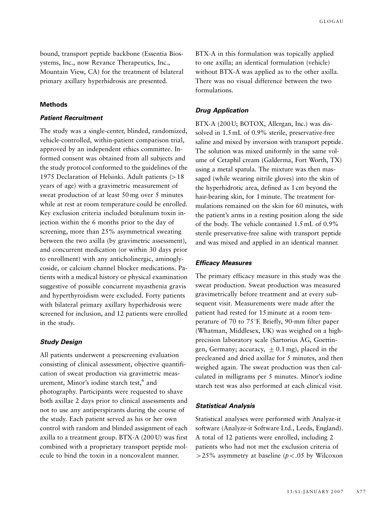bound, transport peptide backbone (Essentia Biosystems, Inc., now Revance Therapeutics, Inc., Mountain View, CA) for the treatment of bilateral primary axillary hyperhidrosis are presented.

## **Methods**

# **Patient Recruitment**

The study was a single-center, blinded, randomized, vehicle-controlled, within-patient comparison trial, approved by an independent ethics committee. Informed consent was obtained from all subjects and the study protocol conformed to the guidelines of the 1975 Declaration of Helsinki. Adult patients  $(>18$ years of age) with a gravimetric measurement of sweat production of at least 50 mg over 5 minutes while at rest at room temperature could be enrolled. Key exclusion criteria included botulinum toxin injection within the 6 months prior to the day of screening, more than 25% asymmetrical sweating between the two axilla (by gravimetric assessment), and concurrent medication (or within 30 days prior to enrollment) with any anticholinergic, aminoglycoside, or calcium channel blocker medications. Patients with a medical history or physical examination suggestive of possible concurrent myasthenia gravis and hyperthyroidism were excluded. Forty patients with bilateral primary axillary hyperhidrosis were screened for inclusion, and 12 patients were enrolled in the study.

# **Study Design**

All patients underwent a prescreening evaluation consisting of clinical assessment, objective quantification of sweat production via gravimetric measurement, Minor's iodine starch test,<sup>6</sup> and photography. Participants were requested to shave both axillae 2 days prior to clinical assessments and not to use any antiperspirants during the course of the study. Each patient served as his or her own control with random and blinded assignment of each axilla to a treatment group. BTX-A (200 U) was first combined with a proprietary transport peptide molecule to bind the toxin in a noncovalent manner.

BTX-A in this formulation was topically applied to one axilla; an identical formulation (vehicle) without BTX-A was applied as to the other axilla. There was no visual difference between the two formulations.

#### **Drug Application**

BTX-A (200 U; BOTOX, Allergan, Inc.) was dissolved in 1.5 mL of 0.9% sterile, preservative-free saline and mixed by inversion with transport peptide. The solution was mixed uniformly in the same volume of Cetaphil cream (Galderma, Fort Worth, TX) using a metal spatula. The mixture was then massaged (while wearing nitrile gloves) into the skin of the hyperhidrotic area, defined as 1 cm beyond the hair-bearing skin, for 1 minute. The treatment formulations remained on the skin for 60 minutes, with the patient's arms in a resting position along the side of the body. The vehicle contained 1.5 mL of 0.9% sterile preservative-free saline with transport peptide and was mixed and applied in an identical manner.

# **Efficacy Measures**

The primary efficacy measure in this study was the sweat production. Sweat production was measured gravimetrically before treatment and at every subsequent visit. Measurements were made after the patient had rested for 15 minute at a room temperature of 70 to 75 $\degree$ F. Briefly, 90-mm filter paper (Whatman, Middlesex, UK) was weighed on a highprecision laboratory scale (Sartorius AG, Goettingen, Germany; accuracy,  $+ 0.1$  mg), placed in the precleaned and dried axillae for 5 minutes, and then weighed again. The sweat production was then calculated in milligrams per 5 minutes. Minor's iodine starch test was also performed at each clinical visit.

#### **Statistical Analysis**

Statistical analyses were performed with Analyze-it software (Analyze-it Software Ltd., Leeds, England). A total of 12 patients were enrolled, including 2 patients who had not met the exclusion criteria of  $>$  25% asymmetry at baseline ( $p$ <.05 by Wilcoxon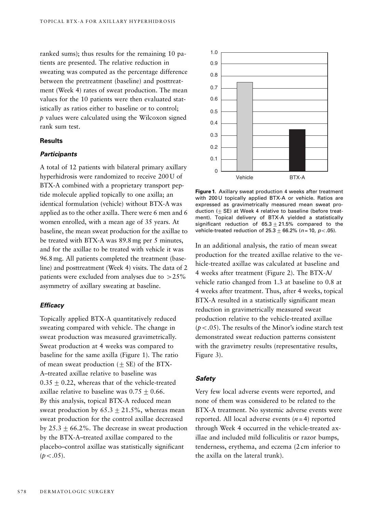ranked sums); thus results for the remaining 10 patients are presented. The relative reduction in sweating was computed as the percentage difference between the pretreatment (baseline) and posttreatment (Week 4) rates of sweat production. The mean values for the 10 patients were then evaluated statistically as ratios either to baseline or to control; p values were calculated using the Wilcoxon signed rank sum test.

#### **Results**

# **Participants**

A total of 12 patients with bilateral primary axillary hyperhidrosis were randomized to receive 200 U of BTX-A combined with a proprietary transport peptide molecule applied topically to one axilla; an identical formulation (vehicle) without BTX-A was applied as to the other axilla. There were 6 men and 6 women enrolled, with a mean age of 35 years. At baseline, the mean sweat production for the axillae to be treated with BTX-A was 89.8 mg per 5 minutes, and for the axillae to be treated with vehicle it was 96.8 mg. All patients completed the treatment (baseline) and posttreatment (Week 4) visits. The data of 2 patients were excluded from analyses due to  $>25\%$ asymmetry of axillary sweating at baseline.

#### **Efficacy**

Topically applied BTX-A quantitatively reduced sweating compared with vehicle. The change in sweat production was measured gravimetrically. Sweat production at 4 weeks was compared to baseline for the same axilla (Figure 1). The ratio of mean sweat production  $(+SE)$  of the BTX-A–treated axillae relative to baseline was  $0.35 + 0.22$ , whereas that of the vehicle-treated axillae relative to baseline was  $0.75 \pm 0.66$ . By this analysis, topical BTX-A reduced mean sweat production by  $65.3 \pm 21.5$ %, whereas mean sweat production for the control axillae decreased by  $25.3 + 66.2\%$ . The decrease in sweat production by the BTX-A–treated axillae compared to the placebo–control axillae was statistically significant  $(p < .05)$ .



**Figure 1**. Axillary sweat production 4 weeks after treatment with 200 U topically applied BTX-A or vehicle. Ratios are expressed as gravimetrically measured mean sweat production  $(±$  SE) at Week 4 relative to baseline (before treatment). Topical delivery of BTX-A yielded a statistically significant reduction of  $65.3 \pm 21.5$ % compared to the vehicle-treated reduction of  $25.3\pm66.2\%$  (n = 10, p < .05).

In an additional analysis, the ratio of mean sweat production for the treated axillae relative to the vehicle-treated axillae was calculated at baseline and 4 weeks after treatment (Figure 2). The BTX-A/ vehicle ratio changed from 1.3 at baseline to 0.8 at 4 weeks after treatment. Thus, after 4 weeks, topical BTX-A resulted in a statistically significant mean reduction in gravimetrically measured sweat production relative to the vehicle-treated axillae  $(p<.05)$ . The results of the Minor's iodine starch test demonstrated sweat reduction patterns consistent with the gravimetry results (representative results, Figure 3).

## **Safety**

Very few local adverse events were reported, and none of them was considered to be related to the BTX-A treatment. No systemic adverse events were reported. All local adverse events  $(n = 4)$  reported through Week 4 occurred in the vehicle-treated axillae and included mild folliculitis or razor bumps, tenderness, erythema, and eczema (2 cm inferior to the axilla on the lateral trunk).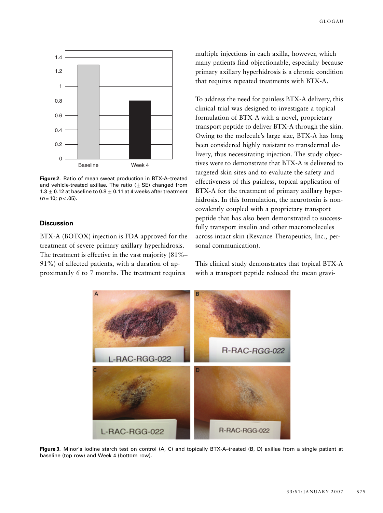

**Figure 2**. Ratio of mean sweat production in BTX-A–treated and vehicle-treated axillae. The ratio  $(\pm S\mathsf{E})$  changed from 1.3  $\pm$  0.12 at baseline to 0.8  $\pm$  0.11 at 4 weeks after treatment  $(n = 10; p < .05)$ .

#### **Discussion**

BTX-A (BOTOX) injection is FDA approved for the treatment of severe primary axillary hyperhidrosis. The treatment is effective in the vast majority (81%– 91%) of affected patients, with a duration of approximately 6 to 7 months. The treatment requires

multiple injections in each axilla, however, which many patients find objectionable, especially because primary axillary hyperhidrosis is a chronic condition that requires repeated treatments with BTX-A.

To address the need for painless BTX-A delivery, this clinical trial was designed to investigate a topical formulation of BTX-A with a novel, proprietary transport peptide to deliver BTX-A through the skin. Owing to the molecule's large size, BTX-A has long been considered highly resistant to transdermal delivery, thus necessitating injection. The study objectives were to demonstrate that BTX-A is delivered to targeted skin sites and to evaluate the safety and effectiveness of this painless, topical application of BTX-A for the treatment of primary axillary hyperhidrosis. In this formulation, the neurotoxin is noncovalently coupled with a proprietary transport peptide that has also been demonstrated to successfully transport insulin and other macromolecules across intact skin (Revance Therapeutics, Inc., personal communication).

This clinical study demonstrates that topical BTX-A with a transport peptide reduced the mean gravi-



**Figure 3**. Minor's iodine starch test on control (A, C) and topically BTX-A–treated (B, D) axillae from a single patient at baseline (top row) and Week 4 (bottom row).